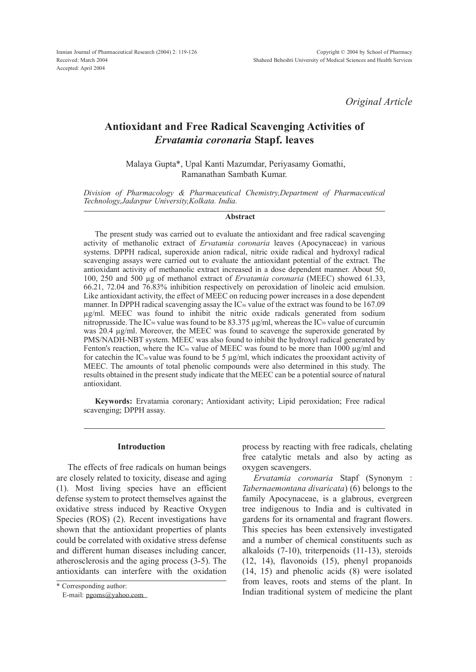Iranian Journal of Pharmaceutical Research (2004) 2: 119-126 Received: March 2004 Accepted: April 2004

*Original Article*

# Antioxidant and Free Radical Scavenging Activities of *Ervatamia coronaria* Stapf. leaves

Malaya Gupta\*, Upal Kanti Mazumdar, Periyasamy Gomathi, Ramanathan Sambath Kumar.

*Division of Pharmacology & Pharmaceutical Chemistry,Department of Pharmaceutical Technology,Jadavpur University,Kolkata. India.*

#### Abstract

The present study was carried out to evaluate the antioxidant and free radical scavenging activity of methanolic extract of *Ervatamia coronaria* leaves (Apocynaceae) in various systems. DPPH radical, superoxide anion radical, nitric oxide radical and hydroxyl radical scavenging assays were carried out to evaluate the antioxidant potential of the extract. The antioxidant activity of methanolic extract increased in a dose dependent manner. About 50, 100, 250 and 500 µg of methanol extract of *Ervatamia coronaria* (MEEC) showed 61.33, 66.21, 72.04 and 76.83% inhibition respectively on peroxidation of linoleic acid emulsion. Like antioxidant activity, the effect of MEEC on reducing power increases in a dose dependent manner. In DPPH radical scavenging assay the IC<sub>50</sub> value of the extract was found to be 167.09 µg/ml. MEEC was found to inhibit the nitric oxide radicals generated from sodium nitroprusside. The IC<sub>50</sub> value was found to be 83.375  $\mu$ g/ml, whereas the IC<sub>50</sub> value of curcumin was 20.4 µg/ml. Moreover, the MEEC was found to scavenge the superoxide generated by PMS/NADH-NBT system. MEEC was also found to inhibit the hydroxyl radical generated by Fenton's reaction, where the IC<sub>50</sub> value of MEEC was found to be more than  $1000 \mu g/ml$  and for catechin the IC<sub>50</sub> value was found to be 5  $\mu$ g/ml, which indicates the prooxidant activity of MEEC. The amounts of total phenolic compounds were also determined in this study. The results obtained in the present study indicate that the MEEC can be a potential source of natural antioxidant.

Keywords: Ervatamia coronary; Antioxidant activity; Lipid peroxidation; Free radical scavenging; DPPH assay.

### Introduction

The effects of free radicals on human beings are closely related to toxicity, disease and aging (1). Most living species have an efficient defense system to protect themselves against the oxidative stress induced by Reactive Oxygen Species (ROS) (2). Recent investigations have shown that the antioxidant properties of plants could be correlated with oxidative stress defense and different human diseases including cancer, atherosclerosis and the aging process (3-5). The antioxidants can interfere with the oxidation

E-mail: [pgoms@yahoo.com](mailto:pgoms@yahoo.com)

process by reacting with free radicals, chelating free catalytic metals and also by acting as oxygen scavengers.

*Ervatamia coronaria* Stapf (Synonym : *Tabernaemontana divaricata*) (6) belongs to the family Apocynaceae, is a glabrous, evergreen tree indigenous to India and is cultivated in gardens for its ornamental and fragrant flowers. This species has been extensively investigated and a number of chemical constituents such as alkaloids (7-10), triterpenoids (11-13), steroids (12, 14), flavonoids (15), phenyl propanoids (14, 15) and phenolic acids (8) were isolated from leaves, roots and stems of the plant. In Indian traditional system of medicine the plant

<sup>\*</sup> Corresponding author: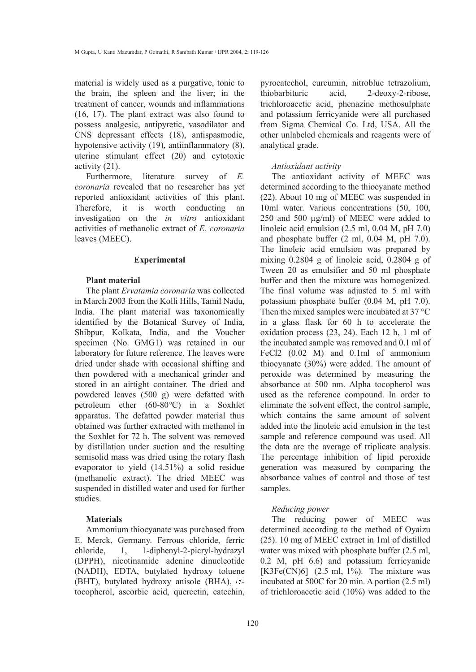material is widely used as a purgative, tonic to the brain, the spleen and the liver; in the treatment of cancer, wounds and inflammations (16, 17). The plant extract was also found to possess analgesic, antipyretic, vasodilator and CNS depressant effects (18), antispasmodic, hypotensive activity (19), antiinflammatory (8), uterine stimulant effect (20) and cytotoxic activity (21).

Furthermore, literature survey of *E. coronaria* revealed that no researcher has yet reported antioxidant activities of this plant. Therefore, it is worth conducting an investigation on the *in vitro* antioxidant activities of methanolic extract of *E. coronaria* leaves (MEEC).

#### Experimental

# Plant material

The plant *Ervatamia coronaria* was collected in March 2003 from the Kolli Hills, Tamil Nadu, India. The plant material was taxonomically identified by the Botanical Survey of India, Shibpur, Kolkata, India, and the Voucher specimen (No. GMG1) was retained in our laboratory for future reference. The leaves were dried under shade with occasional shifting and then powdered with a mechanical grinder and stored in an airtight container. The dried and powdered leaves (500 g) were defatted with petroleum ether (60-80°C) in a Soxhlet apparatus. The defatted powder material thus obtained was further extracted with methanol in the Soxhlet for 72 h. The solvent was removed by distillation under suction and the resulting semisolid mass was dried using the rotary flash evaporator to yield (14.51%) a solid residue (methanolic extract). The dried MEEC was suspended in distilled water and used for further studies.

## Materials

Ammonium thiocyanate was purchased from E. Merck, Germany. Ferrous chloride, ferric chloride, 1, 1-diphenyl-2-picryl-hydrazyl (DPPH), nicotinamide adenine dinucleotide (NADH), EDTA, butylated hydroxy toluene (BHT), butylated hydroxy anisole (BHA),  $\alpha$ tocopherol, ascorbic acid, quercetin, catechin, pyrocatechol, curcumin, nitroblue tetrazolium, thiobarbituric acid, 2-deoxy-2-ribose, trichloroacetic acid, phenazine methosulphate and potassium ferricyanide were all purchased from Sigma Chemical Co. Ltd, USA. All the other unlabeled chemicals and reagents were of analytical grade.

#### *Antioxidant activity*

The antioxidant activity of MEEC was determined according to the thiocyanate method (22). About 10 mg of MEEC was suspended in 10ml water. Various concentrations (50, 100, 250 and 500 µg/ml) of MEEC were added to linoleic acid emulsion (2.5 ml, 0.04 M, pH 7.0) and phosphate buffer (2 ml, 0.04 M, pH 7.0). The linoleic acid emulsion was prepared by mixing 0.2804 g of linoleic acid, 0.2804 g of Tween 20 as emulsifier and 50 ml phosphate buffer and then the mixture was homogenized. The final volume was adjusted to 5 ml with potassium phosphate buffer (0.04 M, pH 7.0). Then the mixed samples were incubated at 37 °C in a glass flask for 60 h to accelerate the oxidation process (23, 24). Each 12 h, 1 ml of the incubated sample was removed and 0.1 ml of FeCl2 (0.02 M) and 0.1ml of ammonium thiocyanate (30%) were added. The amount of peroxide was determined by measuring the absorbance at 500 nm. Alpha tocopherol was used as the reference compound. In order to eliminate the solvent effect, the control sample, which contains the same amount of solvent added into the linoleic acid emulsion in the test sample and reference compound was used. All the data are the average of triplicate analysis. The percentage inhibition of lipid peroxide generation was measured by comparing the absorbance values of control and those of test samples.

## *Reducing power*

The reducing power of MEEC was determined according to the method of Oyaizu (25). 10 mg of MEEC extract in 1ml of distilled water was mixed with phosphate buffer  $(2.5 \text{ ml})$ , 0.2 M, pH 6.6) and potassium ferricyanide [K3Fe(CN)6]  $(2.5 \text{ ml}, 1\%)$ . The mixture was incubated at 500C for 20 min. A portion (2.5 ml) of trichloroacetic acid (10%) was added to the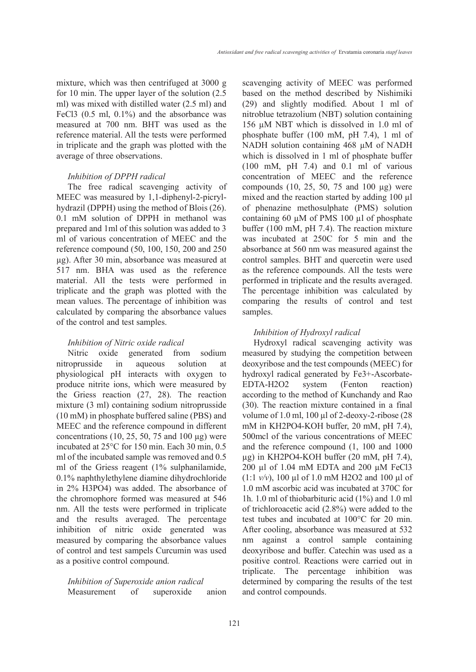mixture, which was then centrifuged at 3000 g for 10 min. The upper layer of the solution (2.5 ml) was mixed with distilled water (2.5 ml) and FeCl3 (0.5 ml, 0.1%) and the absorbance was measured at 700 nm. BHT was used as the reference material. All the tests were performed in triplicate and the graph was plotted with the average of three observations.

# *Inhibition of DPPH radical*

The free radical scavenging activity of MEEC was measured by 1,1-diphenyl-2-picrylhydrazil (DPPH) using the method of Blois (26). 0.1 mM solution of DPPH in methanol was prepared and 1ml of this solution was added to 3 ml of various concentration of MEEC and the reference compound (50, 100, 150, 200 and 250 µg). After 30 min, absorbance was measured at 517 nm. BHA was used as the reference material. All the tests were performed in triplicate and the graph was plotted with the mean values. The percentage of inhibition was calculated by comparing the absorbance values of the control and test samples.

# *Inhibition of Nitric oxide radical*

Nitric oxide generated from sodium nitroprusside in aqueous solution at physiological pH interacts with oxygen to produce nitrite ions, which were measured by the Griess reaction (27, 28). The reaction mixture (3 ml) containing sodium nitroprusside (10 mM) in phosphate buffered saline (PBS) and MEEC and the reference compound in different concentrations  $(10, 25, 50, 75, 4100 \mu g)$  were incubated at 25°C for 150 min. Each 30 min, 0.5 ml of the incubated sample was removed and 0.5 ml of the Griess reagent (1% sulphanilamide, 0.1% naphthylethylene diamine dihydrochloride in 2% H3PO4) was added. The absorbance of the chromophore formed was measured at 546 nm. All the tests were performed in triplicate and the results averaged. The percentage inhibition of nitric oxide generated was measured by comparing the absorbance values of control and test sampels Curcumin was used as a positive control compound.

# *Inhibition of Superoxide anion radical* Measurement of superoxide anion

scavenging activity of MEEC was performed based on the method described by Nishimiki (29) and slightly modified. About 1 ml of nitroblue tetrazolium (NBT) solution containing 156 µM NBT which is dissolved in 1.0 ml of phosphate buffer (100 mM, pH 7.4), 1 ml of NADH solution containing 468 µM of NADH which is dissolved in 1 ml of phosphate buffer (100 mM, pH 7.4) and 0.1 ml of various concentration of MEEC and the reference compounds (10, 25, 50, 75 and 100 µg) were mixed and the reaction started by adding 100 µl of phenazine methosulphate (PMS) solution containing 60 µM of PMS 100 µl of phosphate buffer (100 mM, pH 7.4). The reaction mixture was incubated at 250C for 5 min and the absorbance at 560 nm was measured against the control samples. BHT and quercetin were used as the reference compounds. All the tests were performed in triplicate and the results averaged. The percentage inhibition was calculated by comparing the results of control and test samples.

# *Inhibition of Hydroxyl radical*

Hydroxyl radical scavenging activity was measured by studying the competition between deoxyribose and the test compounds (MEEC) for hydroxyl radical generated by Fe3+-Ascorbate-EDTA-H2O2 system (Fenton reaction) according to the method of Kunchandy and Rao (30). The reaction mixture contained in a final volume of 1.0 ml, 100 µl of 2-deoxy-2-ribose (28 mM in KH2PO4-KOH buffer, 20 mM, pH 7.4), 500mcl of the various concentrations of MEEC and the reference compound (1, 100 and 1000 µg) in KH2PO4-KOH buffer (20 mM, pH 7.4), 200 µl of 1.04 mM EDTA and 200 µM FeCl3 (1:1 *v/v*), 100 µl of 1.0 mM H2O2 and 100 µl of 1.0 mM ascorbic acid was incubated at 370C for 1h. 1.0 ml of thiobarbituric acid (1%) and 1.0 ml of trichloroacetic acid (2.8%) were added to the test tubes and incubated at 100°C for 20 min. After cooling, absorbance was measured at 532 nm against a control sample containing deoxyribose and buffer. Catechin was used as a positive control. Reactions were carried out in triplicate. The percentage inhibition was determined by comparing the results of the test and control compounds.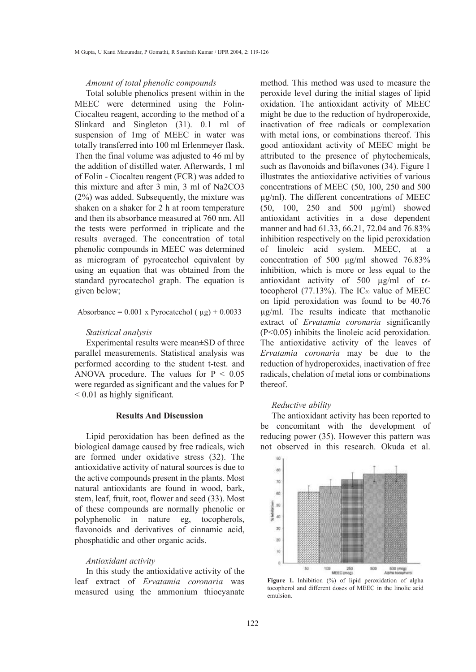## *Amount of total phenolic compounds*

Total soluble phenolics present within in the MEEC were determined using the Folin-Ciocalteu reagent, according to the method of a Slinkard and Singleton (31). 0.1 ml of suspension of 1mg of MEEC in water was totally transferred into 100 ml Erlenmeyer flask. Then the final volume was adjusted to 46 ml by the addition of distilled water. Afterwards, 1 ml of Folin - Ciocalteu reagent (FCR) was added to this mixture and after 3 min, 3 ml of Na2CO3 (2%) was added. Subsequently, the mixture was shaken on a shaker for 2 h at room temperature and then its absorbance measured at 760 nm. All the tests were performed in triplicate and the results averaged. The concentration of total phenolic compounds in MEEC was determined as microgram of pyrocatechol equivalent by using an equation that was obtained from the standard pyrocatechol graph. The equation is given below;

Absorbance =  $0.001$  x Pyrocatechol ( $\mu$ g) + 0.0033

## *Statistical analysis*

Experimental results were mean±SD of three parallel measurements. Statistical analysis was performed according to the student t-test. and ANOVA procedure. The values for  $P < 0.05$ were regarded as significant and the values for P < 0.01 as highly significant.

### Results And Discussion

Lipid peroxidation has been defined as the biological damage caused by free radicals, wich are formed under oxidative stress (32). The antioxidative activity of natural sources is due to the active compounds present in the plants. Most natural antioxidants are found in wood, bark, stem, leaf, fruit, root, flower and seed (33). Most of these compounds are normally phenolic or polyphenolic in nature eg, tocopherols, flavonoids and derivatives of cinnamic acid, phosphatidic and other organic acids.

## *Antioxidant activity*

In this study the antioxidative activity of the leaf extract of *Ervatamia coronaria* was measured using the ammonium thiocyanate method. This method was used to measure the peroxide level during the initial stages of lipid oxidation. The antioxidant activity of MEEC might be due to the reduction of hydroperoxide, inactivation of free radicals or complexation with metal ions, or combinations thereof. This good antioxidant activity of MEEC might be attributed to the presence of phytochemicals, such as flavonoids and biflavones (34). Figure 1 illustrates the antioxidative activities of various concentrations of MEEC (50, 100, 250 and 500 µg/ml). The different concentrations of MEEC (50, 100, 250 and 500 µg/ml) showed antioxidant activities in a dose dependent manner and had 61.33, 66.21, 72.04 and 76.83% inhibition respectively on the lipid peroxidation of linoleic acid system. MEEC, at a concentration of 500 µg/ml showed 76.83% inhibition, which is more or less equal to the antioxidant activity of 500  $\mu$ g/ml of txtocopherol  $(77.13\%)$ . The IC<sub>50</sub> value of MEEC on lipid peroxidation was found to be 40.76 µg/ml. The results indicate that methanolic extract of *Ervatamia coronaria* significantly (P<0.05) inhibits the linoleic acid peroxidation. The antioxidative activity of the leaves of *Ervatamia coronaria* may be due to the reduction of hydroperoxides, inactivation of free radicals, chelation of metal ions or combinations thereof.

#### *Reductive ability*

The antioxidant activity has been reported to be concomitant with the development of reducing power (35). However this pattern was not observed in this research. Okuda et al.



Figure 1. Inhibition (%) of lipid peroxidation of alpha tocopherol and different doses of MEEC in the linolic acid emulsion.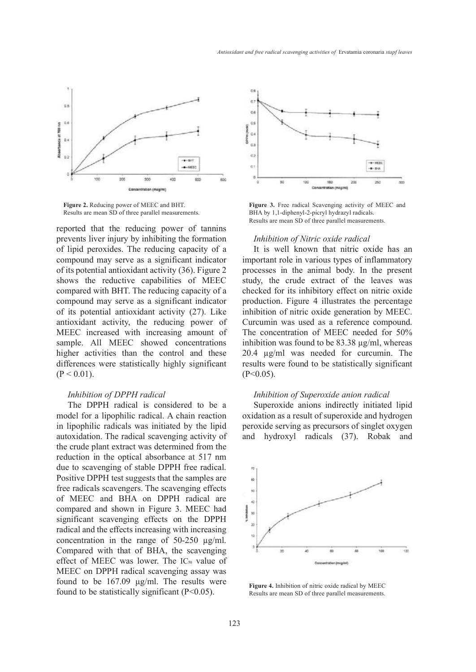

Figure 2. Reducing power of MEEC and BHT. Results are mean SD of three parallel measurements.

reported that the reducing power of tannins prevents liver injury by inhibiting the formation of lipid peroxides. The reducing capacity of a compound may serve as a significant indicator of its potential antioxidant activity (36). Figure 2 shows the reductive capabilities of MEEC compared with BHT. The reducing capacity of a compound may serve as a significant indicator of its potential antioxidant activity (27). Like antioxidant activity, the reducing power of MEEC increased with increasing amount of sample. All MEEC showed concentrations higher activities than the control and these differences were statistically highly significant  $(P < 0.01)$ .

## *Inhibition of DPPH radical*

The DPPH radical is considered to be a model for a lipophilic radical. A chain reaction in lipophilic radicals was initiated by the lipid autoxidation. The radical scavenging activity of the crude plant extract was determined from the reduction in the optical absorbance at 517 nm due to scavenging of stable DPPH free radical. Positive DPPH test suggests that the samples are free radicals scavengers. The scavenging effects of MEEC and BHA on DPPH radical are compared and shown in Figure 3. MEEC had significant scavenging effects on the DPPH radical and the effects increasing with increasing concentration in the range of 50-250 µg/ml. Compared with that of BHA, the scavenging effect of MEEC was lower. The IC50 value of MEEC on DPPH radical scavenging assay was found to be 167.09 µg/ml. The results were found to be statistically significant  $(P<0.05)$ .



Figure 3. Free radical Scavenging activity of MEEC and BHA by 1,1-diphenyl-2-picryl hydrazyl radicals. Results are mean SD of three parallel measurements.

### *Inhibition of Nitric oxide radical*

It is well known that nitric oxide has an important role in various types of inflammatory processes in the animal body. In the present study, the crude extract of the leaves was checked for its inhibitory effect on nitric oxide production. Figure 4 illustrates the percentage inhibition of nitric oxide generation by MEEC. Curcumin was used as a reference compound. The concentration of MEEC needed for 50% inhibition was found to be 83.38 µg/ml, whereas 20.4 µg/ml was needed for curcumin. The results were found to be statistically significant  $(P<0.05)$ .

## *Inhibition of Superoxide anion radical*

Superoxide anions indirectly initiated lipid oxidation as a result of superoxide and hydrogen peroxide serving as precursors of singlet oxygen and hydroxyl radicals (37). Robak and



Figure 4. Inhibition of nitric oxide radical by MEEC Results are mean SD of three parallel measurements.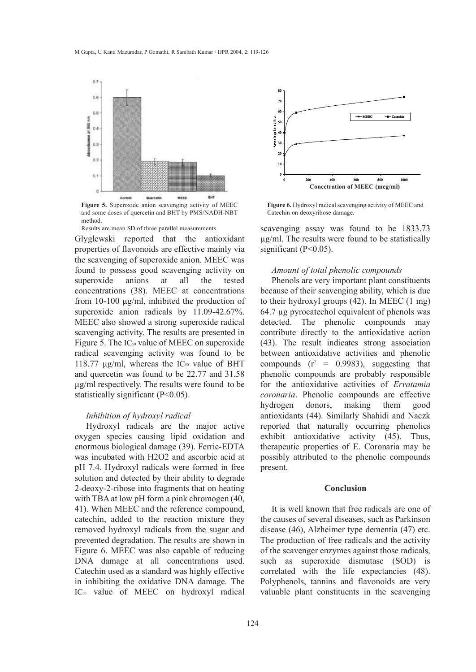

Figure 5. Superoxide anion scavenging activity of MEEC and some doses of quercetin and BHT by PMS/NADH-NBT method.

Results are mean SD of three parallel measurements.

Glyglewski reported that the antioxidant properties of flavonoids are effective mainly via the scavenging of superoxide anion. MEEC was found to possess good scavenging activity on superoxide anions at all the tested concentrations (38). MEEC at concentrations from 10-100 µg/ml, inhibited the production of superoxide anion radicals by 11.09-42.67%. MEEC also showed a strong superoxide radical scavenging activity. The results are presented in Figure 5. The IC<sub>50</sub> value of MEEC on superoxide radical scavenging activity was found to be 118.77  $\mu$ g/ml, whereas the IC<sub>50</sub> value of BHT and quercetin was found to be 22.77 and 31.58 µg/ml respectively. The results were found to be statistically significant (P<0.05).

#### *Inhibition of hydroxyl radical*

Hydroxyl radicals are the major active oxygen species causing lipid oxidation and enormous biological damage (39). Ferric-EDTA was incubated with H2O2 and ascorbic acid at pH 7.4. Hydroxyl radicals were formed in free solution and detected by their ability to degrade 2-deoxy-2-ribose into fragments that on heating with TBA at low pH form a pink chromogen  $(40, 40)$ 41). When MEEC and the reference compound, catechin, added to the reaction mixture they removed hydroxyl radicals from the sugar and prevented degradation. The results are shown in Figure 6. MEEC was also capable of reducing DNA damage at all concentrations used. Catechin used as a standard was highly effective in inhibiting the oxidative DNA damage. The IC<sub>50</sub> value of MEEC on hydroxyl radical



Figure 6. Hydroxyl radical scavenging activity of MEEC and Catechin on deoxyribose damage.

scavenging assay was found to be 1833.73 µg/ml. The results were found to be statistically significant  $(P<0.05)$ .

### *Amount of total phenolic compounds*

Phenols are very important plant constituents because of their scavenging ability, which is due to their hydroxyl groups (42). In MEEC (1 mg) 64.7 µg pyrocatechol equivalent of phenols was detected. The phenolic compounds may contribute directly to the antioxidative action (43). The result indicates strong association between antioxidative activities and phenolic compounds  $(r^2 = 0.9983)$ , suggesting that phenolic compounds are probably responsible for the antioxidative activities of *Ervatamia coronaria*. Phenolic compounds are effective hydrogen donors, making them good antioxidants (44). Similarly Shahidi and Naczk reported that naturally occurring phenolics exhibit antioxidative activity (45). Thus, therapeutic properties of E. Coronaria may be possibly attributed to the phenolic compounds present.

### **Conclusion**

It is well known that free radicals are one of the causes of several diseases, such as Parkinson disease (46), Alzheimer type dementia (47) etc. The production of free radicals and the activity of the scavenger enzymes against those radicals, such as superoxide dismutase (SOD) is correlated with the life expectancies (48). Polyphenols, tannins and flavonoids are very valuable plant constituents in the scavenging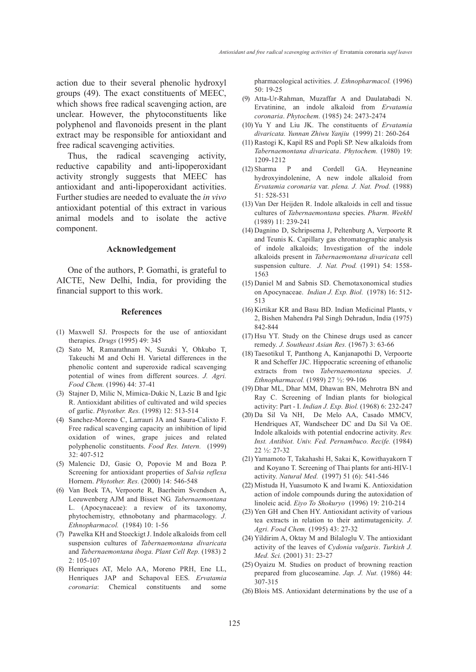action due to their several phenolic hydroxyl groups (49). The exact constituents of MEEC, which shows free radical scavenging action, are unclear. However, the phytoconstituents like polyphenol and flavonoids present in the plant extract may be responsible for antioxidant and free radical scavenging activities.

Thus, the radical scavenging activity, reductive capability and anti-lipoperoxidant activity strongly suggests that MEEC has antioxidant and anti-lipoperoxidant activities. Further studies are needed to evaluate the *in vivo* antioxidant potential of this extract in various animal models and to isolate the active component.

### Acknowledgement

One of the authors, P. Gomathi, is grateful to AICTE, New Delhi, India, for providing the financial support to this work.

#### References

- Maxwell SJ. Prospects for the use of antioxidant (1) therapies. *Drugs* (1995) 49: 345
- (2) Sato M, Ramarathnam N, Suzuki Y, Ohkubo T, Takeuchi M and Ochi H. Varietal differences in the phenolic content and superoxide radical scavenging potential of wines from different sources. *J. Agri. Food Chem.* (1996) 44: 37-41
- (3) Stajner D, Milic N, Mimica-Dukic N, Lazic B and Igic R. Antioxidant abilities of cultivated and wild species of garlic. *Phytother. Res.* (1998) 12: 513-514
- Sanchez-Moreno C, Larrauri JA and Saura-Calixto F. (4) Free radical scavenging capacity an inhibition of lipid oxidation of wines, grape juices and related polyphenolic constituents. *Food Res. Intern.* (1999) 32: 407-512
- Malencic DJ, Gasic O, Popovie M and Boza P. (5) Screening for antioxidant properties of *Salvia reflexa* Hornem. *Phytother. Res.* (2000) 14: 546-548
- (6) Van Beek TA, Verpoorte R, Baerheim Svendsen A, Leeuwenberg AJM and Bisset NG. *Tabernaemontana* L. (Apocynaceae): a review of its taxonomy, phytochemistry, ethnobotany and pharmacology. *J. Ethnopharmacol.* (1984) 10: 1-56
- Pawelka KH and Stoeckigt J. Indole alkaloids from cell (7) suspension cultures of *Tabernaemontana divaricata* and *Tabernaemontana iboga*. *Plant Cell Rep.* (1983) 2 2: 105-107
- Henriques AT, Melo AA, Moreno PRH, Ene LL, (8)Henriques JAP and Schapoval EES. *Ervatamia coronaria*: Chemical constituents and some

pharmacological activities. *J. Ethnopharmacol.* (1996)  $50:19-25$ 

- Atta-Ur-Rahman, Muzaffar A and Daulatabadi N. (9) Ervatinine, an indole alkaloid from *Ervatamia coronaria*. *Phytochem.* (1985) 24: 2473-2474
- (10) Yu Y and Liu JK. The constituents of *Ervatamia divaricata. Yunnan Zhiwu Yanjiu* (1999) 21: 260-264
- (11) Rastogi K, Kapil RS and Popli SP. New alkaloids from *Tabernaemontana divaricata*. *Phytochem.* (1980) 19: 1209-1212
- and Cordell GA. Heyneanine hydroxyindolenine, A new indole alkaloid from *Ervatamia coronaria* var. *plena. J. Nat. Prod.* (1988) 51: 528-531  $(12)$  Sharma P
- (13) Van Der Heijden R. Indole alkaloids in cell and tissue cultures of *Tabernaemontana* species. *Pharm. Weekbl* (1989) 11: 239-241
- (14) Dagnino D, Schripsema J, Peltenburg A, Verpoorte R and Teunis K. Capillary gas chromatographic analysis of indole alkaloids; Investigation of the indole alkaloids present in *Tabernaemontana divaricata* cell suspension culture. *J. Nat. Prod.* (1991) 54: 1558- 1563
- (15) Daniel M and Sabnis SD. Chemotaxonomical studies on Apocynaceae. *Indian J. Exp. Biol.* (1978) 16: 512- 513
- (16) Kirtikar KR and Basu BD. Indian Medicinal Plants, v 2, Bishen Mahendra Pal Singh Dehradun, India (1975) 842-844
- (17) Hsu YT. Study on the Chinese drugs used as cancer remedy. *J. Southeast Asian Res.* (1967) 3: 63-66
- (18) Taesotikul T, Panthong A, Kanjanapothi D, Verpoorte R and Scheffer JJC. Hippocratic screening of ethanolic extracts from two *Tabernaemontana* species. *J. Ethnopharmacol.* (1989) 27 ½: 99-106
- (19) Dhar ML, Dhar MM, Dhawan BN, Mehrotra BN and Ray C. Screening of Indian plants for biological activity: Part - I. *Indian J. Exp. Biol.* (1968) 6: 232-247
- (20) Da Sil Va NH, De Melo AA, Casado MMCV, Hendriques AT, Wandscheer DC and Da Sil Va OE. Indole alkaloids with potential endocrine activity. *Rev. Inst. Antibiot. Univ. Fed. Pernambuco. Recife.* (1984) 22 ½: 27-32
- (21) Yamamoto T, Takahashi H, Sakai K, Kowithayakorn T and Koyano T. Screening of Thai plants for anti-HIV-1 activity. *Natural Med.* (1997) 51 (6): 541-546
- (22) Mistuda H, Yuasumoto K and Iwami K. Antioxidation action of indole compounds during the autoxidation of linoleic acid. *Eiyo To Shokuryo* (1996) 19: 210-214
- (23) Yen GH and Chen HY. Antioxidant activity of various tea extracts in relation to their antimutagenicity. *J. Agri. Food Chem.* (1995) 43: 27-32
- (24) Yildirim A, Oktay M and Bilaloglu V. The antioxidant activity of the leaves of *Cydonia vulgaris*. *Turkish J. Med. Sci.* (2001) 31: 23-27
- (25) Oyaizu M. Studies on product of browning reaction prepared from glucoseamine. *Jap. J. Nut.* (1986) 44: 307-315
- (26) Blois MS. Antioxidant determinations by the use of a